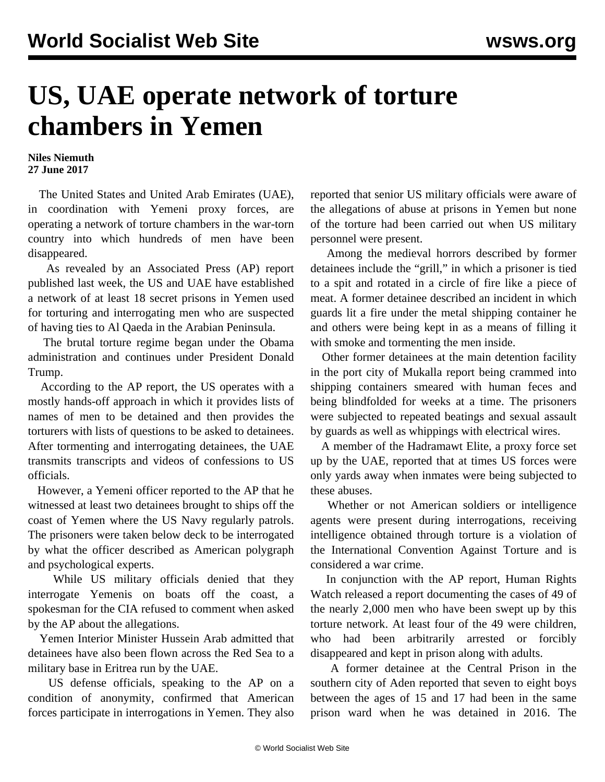## **US, UAE operate network of torture chambers in Yemen**

## **Niles Niemuth 27 June 2017**

 The United States and United Arab Emirates (UAE), in coordination with Yemeni proxy forces, are operating a network of torture chambers in the war-torn country into which hundreds of men have been disappeared.

 As revealed by an Associated Press (AP) report published last week, the US and UAE have established a network of at least 18 secret prisons in Yemen used for torturing and interrogating men who are suspected of having ties to Al Qaeda in the Arabian Peninsula.

 The brutal torture regime began under the Obama administration and continues under President Donald Trump.

 According to the AP report, the US operates with a mostly hands-off approach in which it provides lists of names of men to be detained and then provides the torturers with lists of questions to be asked to detainees. After tormenting and interrogating detainees, the UAE transmits transcripts and videos of confessions to US officials.

 However, a Yemeni officer reported to the AP that he witnessed at least two detainees brought to ships off the coast of Yemen where the US Navy regularly patrols. The prisoners were taken below deck to be interrogated by what the officer described as American polygraph and psychological experts.

 While US military officials denied that they interrogate Yemenis on boats off the coast, a spokesman for the CIA refused to comment when asked by the AP about the allegations.

 Yemen Interior Minister Hussein Arab admitted that detainees have also been flown across the Red Sea to a military base in Eritrea run by the UAE.

 US defense officials, speaking to the AP on a condition of anonymity, confirmed that American forces participate in interrogations in Yemen. They also reported that senior US military officials were aware of the allegations of abuse at prisons in Yemen but none of the torture had been carried out when US military personnel were present.

 Among the medieval horrors described by former detainees include the "grill," in which a prisoner is tied to a spit and rotated in a circle of fire like a piece of meat. A former detainee described an incident in which guards lit a fire under the metal shipping container he and others were being kept in as a means of filling it with smoke and tormenting the men inside.

 Other former detainees at the main detention facility in the port city of Mukalla report being crammed into shipping containers smeared with human feces and being blindfolded for weeks at a time. The prisoners were subjected to repeated beatings and sexual assault by guards as well as whippings with electrical wires.

 A member of the Hadramawt Elite, a proxy force set up by the UAE, reported that at times US forces were only yards away when inmates were being subjected to these abuses.

 Whether or not American soldiers or intelligence agents were present during interrogations, receiving intelligence obtained through torture is a violation of the International Convention Against Torture and is considered a war crime.

 In conjunction with the AP report, Human Rights Watch released a report documenting the cases of 49 of the nearly 2,000 men who have been swept up by this torture network. At least four of the 49 were children, who had been arbitrarily arrested or forcibly disappeared and kept in prison along with adults.

 A former detainee at the Central Prison in the southern city of Aden reported that seven to eight boys between the ages of 15 and 17 had been in the same prison ward when he was detained in 2016. The